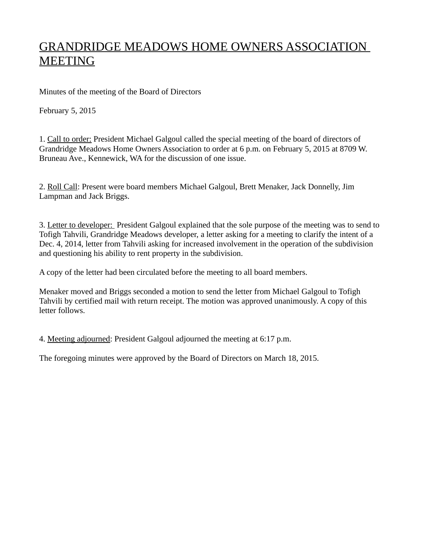## GRANDRIDGE MEADOWS HOME OWNERS ASSOCIATION MEETING

Minutes of the meeting of the Board of Directors

February 5, 2015

1. Call to order: President Michael Galgoul called the special meeting of the board of directors of Grandridge Meadows Home Owners Association to order at 6 p.m. on February 5, 2015 at 8709 W. Bruneau Ave., Kennewick, WA for the discussion of one issue.

2. Roll Call: Present were board members Michael Galgoul, Brett Menaker, Jack Donnelly, Jim Lampman and Jack Briggs.

3. Letter to developer: President Galgoul explained that the sole purpose of the meeting was to send to Tofigh Tahvili, Grandridge Meadows developer, a letter asking for a meeting to clarify the intent of a Dec. 4, 2014, letter from Tahvili asking for increased involvement in the operation of the subdivision and questioning his ability to rent property in the subdivision.

A copy of the letter had been circulated before the meeting to all board members.

Menaker moved and Briggs seconded a motion to send the letter from Michael Galgoul to Tofigh Tahvili by certified mail with return receipt. The motion was approved unanimously. A copy of this letter follows.

4. Meeting adjourned: President Galgoul adjourned the meeting at 6:17 p.m.

The foregoing minutes were approved by the Board of Directors on March 18, 2015.